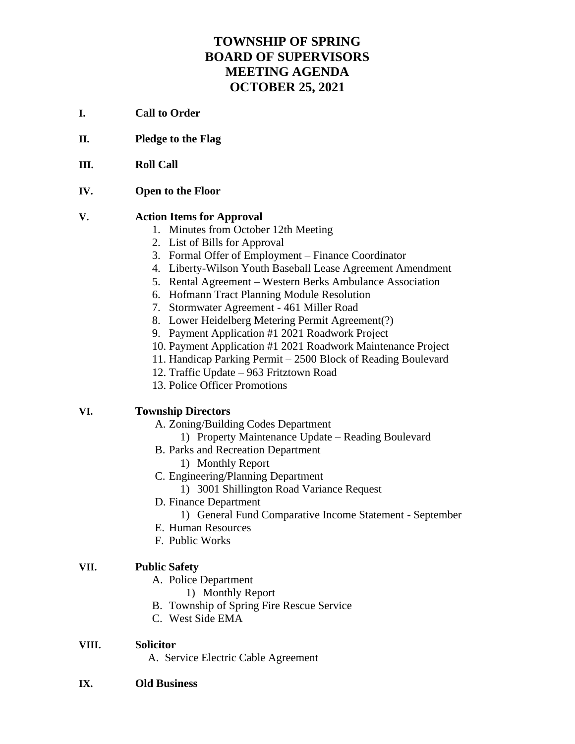# **TOWNSHIP OF SPRING BOARD OF SUPERVISORS MEETING AGENDA OCTOBER 25, 2021**

- **I. Call to Order**
- **II. Pledge to the Flag**
- **III. Roll Call**
- **IV. Open to the Floor**

#### **V. Action Items for Approval**

- 1. Minutes from October 12th Meeting
- 2. List of Bills for Approval
- 3. Formal Offer of Employment Finance Coordinator
- 4. Liberty-Wilson Youth Baseball Lease Agreement Amendment
- 5. Rental Agreement Western Berks Ambulance Association
- 6. Hofmann Tract Planning Module Resolution
- 7. Stormwater Agreement 461 Miller Road
- 8. Lower Heidelberg Metering Permit Agreement(?)
- 9. Payment Application #1 2021 Roadwork Project
- 10. Payment Application #1 2021 Roadwork Maintenance Project
- 11. Handicap Parking Permit 2500 Block of Reading Boulevard
- 12. Traffic Update 963 Fritztown Road
- 13. Police Officer Promotions

### **VI. Township Directors**

- A. Zoning/Building Codes Department
	- 1) Property Maintenance Update Reading Boulevard
- B. Parks and Recreation Department
	- 1) Monthly Report
- C. Engineering/Planning Department
	- 1) 3001 Shillington Road Variance Request
- D. Finance Department
	- 1) General Fund Comparative Income Statement September
- E. Human Resources
- F. Public Works

#### **VII. Public Safety**

- A. Police Department
	- 1) Monthly Report
- B. Township of Spring Fire Rescue Service
- C. West Side EMA

#### **VIII. Solicitor**

- A. Service Electric Cable Agreement
- **IX. Old Business**